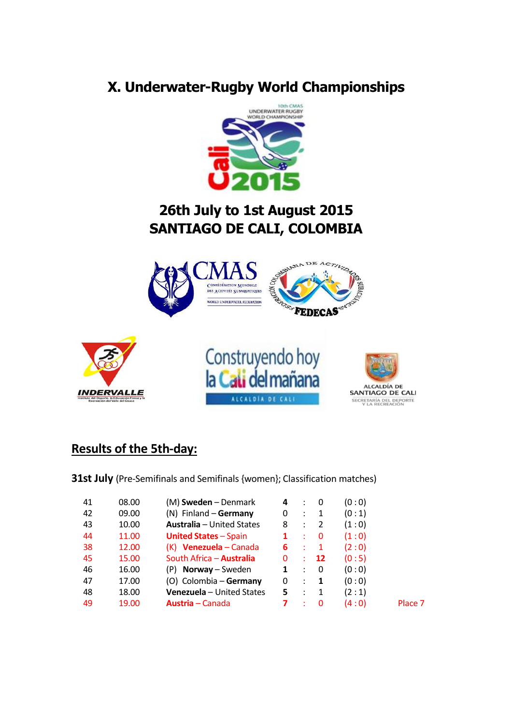## **X. Underwater-Rugby World Championships**



## **26th July to 1st August 2015 SANTIAGO DE CALI, COLOMBIA**



## **Results of the 5th-day:**

**31st July** (Pre-Semifinals and Semifinals {women}; Classification matches)

| 41 | 08.00 | (M) <b>Sweden</b> – Denmark      | 4 | $\sim$ 100 $\sim$    | 0              | (0:0) |         |
|----|-------|----------------------------------|---|----------------------|----------------|-------|---------|
| 42 | 09.00 | $(N)$ Finland – Germany          | 0 |                      | $\therefore$ 1 | (0:1) |         |
| 43 | 10.00 | <b>Australia</b> – United States | 8 |                      | $\therefore$ 2 | (1:0) |         |
| 44 | 11.00 | <b>United States - Spain</b>     |   | ÷                    | 0              | (1:0) |         |
| 38 | 12.00 | $(K)$ Venezuela – Canada         | 6 | - 11                 | $\blacksquare$ | (2:0) |         |
| 45 | 15.00 | South Africa - <b>Australia</b>  | 0 | $\mathcal{L}$        | <b>12</b>      | (0:5) |         |
| 46 | 16.00 | $(P)$ <b>Norway</b> – Sweden     | 1 | $\sim$ 100 $\sim$    | 0              | (0:0) |         |
| 47 | 17.00 | (O) Colombia - Germany           | 0 | $\ddot{\phantom{a}}$ | -1             | (0:0) |         |
| 48 | 18.00 | <b>Venezuela</b> - United States | 5 | $\cdot$ .            | 1              | (2:1) |         |
| 49 | 19.00 | <b>Austria</b> – Canada          |   |                      | 0              | (4:0) | Place 7 |
|    |       |                                  |   |                      |                |       |         |